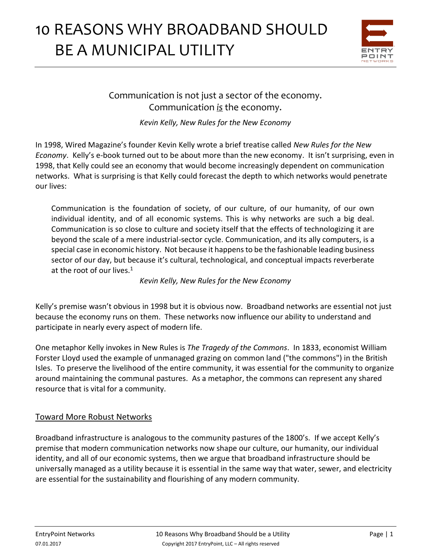

Communication is not just a sector of the economy. Communication *is* the economy.

*Kevin Kelly, New Rules for the New Economy*

In 1998, Wired Magazine's founder Kevin Kelly wrote a brief treatise called *New Rules for the New Economy*. Kelly's e-book turned out to be about more than the new economy. It isn't surprising, even in 1998, that Kelly could see an economy that would become increasingly dependent on communication networks. What is surprising is that Kelly could forecast the depth to which networks would penetrate our lives:

Communication is the foundation of society, of our culture, of our humanity, of our own individual identity, and of all economic systems. This is why networks are such a big deal. Communication is so close to culture and society itself that the effects of technologizing it are beyond the scale of a mere industrial-sector cycle. Communication, and its ally computers, is a special case in economic history. Not because it happens to be the fashionable leading business sector of our day, but because it's cultural, technological, and conceptual impacts reverberate at the root of our lives. $1$ 

#### *Kevin Kelly, New Rules for the New Economy*

Kelly's premise wasn't obvious in 1998 but it is obvious now. Broadband networks are essential not just because the economy runs on them. These networks now influence our ability to understand and participate in nearly every aspect of modern life.

One metaphor Kelly invokes in New Rules is *The Tragedy of the Commons*. In 1833, economist William Forster Lloyd used the example of unmanaged grazing on common land ("the commons") in the British Isles. To preserve the livelihood of the entire community, it was essential for the community to organize around maintaining the communal pastures. As a metaphor, the commons can represent any shared resource that is vital for a community.

## Toward More Robust Networks

Broadband infrastructure is analogous to the community pastures of the 1800's. If we accept Kelly's premise that modern communication networks now shape our culture, our humanity, our individual identity, and all of our economic systems, then we argue that broadband infrastructure should be universally managed as a utility because it is essential in the same way that water, sewer, and electricity are essential for the sustainability and flourishing of any modern community.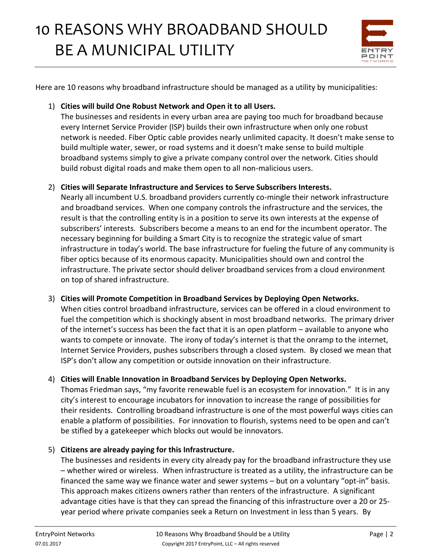

Here are 10 reasons why broadband infrastructure should be managed as a utility by municipalities:

### 1) **Cities will build One Robust Network and Open it to all Users.**

The businesses and residents in every urban area are paying too much for broadband because every Internet Service Provider (ISP) builds their own infrastructure when only one robust network is needed. Fiber Optic cable provides nearly unlimited capacity. It doesn't make sense to build multiple water, sewer, or road systems and it doesn't make sense to build multiple broadband systems simply to give a private company control over the network. Cities should build robust digital roads and make them open to all non-malicious users.

### 2) **Cities will Separate Infrastructure and Services to Serve Subscribers Interests.**

Nearly all incumbent U.S. broadband providers currently co-mingle their network infrastructure and broadband services. When one company controls the infrastructure and the services, the result is that the controlling entity is in a position to serve its own interests at the expense of subscribers' interests. Subscribers become a means to an end for the incumbent operator. The necessary beginning for building a Smart City is to recognize the strategic value of smart infrastructure in today's world. The base infrastructure for fueling the future of any community is fiber optics because of its enormous capacity. Municipalities should own and control the infrastructure. The private sector should deliver broadband services from a cloud environment on top of shared infrastructure.

## 3) **Cities will Promote Competition in Broadband Services by Deploying Open Networks.**

When cities control broadband infrastructure, services can be offered in a cloud environment to fuel the competition which is shockingly absent in most broadband networks. The primary driver of the internet's success has been the fact that it is an open platform – available to anyone who wants to compete or innovate. The irony of today's internet is that the onramp to the internet, Internet Service Providers, pushes subscribers through a closed system. By closed we mean that ISP's don't allow any competition or outside innovation on their infrastructure.

#### 4) **Cities will Enable Innovation in Broadband Services by Deploying Open Networks.**

Thomas Friedman says, "my favorite renewable fuel is an ecosystem for innovation." It is in any city's interest to encourage incubators for innovation to increase the range of possibilities for their residents. Controlling broadband infrastructure is one of the most powerful ways cities can enable a platform of possibilities. For innovation to flourish, systems need to be open and can't be stifled by a gatekeeper which blocks out would be innovators.

## 5) **Citizens are already paying for this Infrastructure.**

The businesses and residents in every city already pay for the broadband infrastructure they use – whether wired or wireless. When infrastructure is treated as a utility, the infrastructure can be financed the same way we finance water and sewer systems – but on a voluntary "opt-in" basis. This approach makes citizens owners rather than renters of the infrastructure. A significant advantage cities have is that they can spread the financing of this infrastructure over a 20 or 25 year period where private companies seek a Return on Investment in less than 5 years. By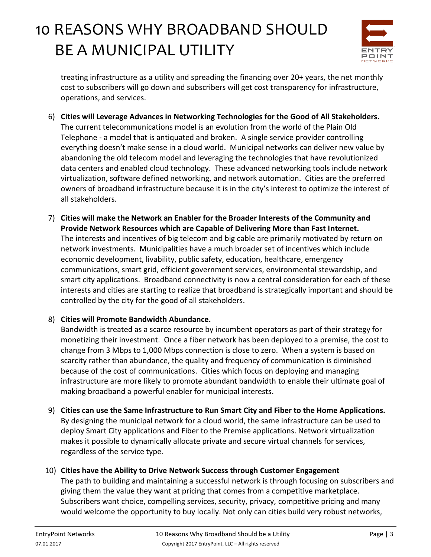

treating infrastructure as a utility and spreading the financing over 20+ years, the net monthly cost to subscribers will go down and subscribers will get cost transparency for infrastructure, operations, and services.

- 6) **Cities will Leverage Advances in Networking Technologies for the Good of All Stakeholders.** The current telecommunications model is an evolution from the world of the Plain Old Telephone - a model that is antiquated and broken. A single service provider controlling everything doesn't make sense in a cloud world. Municipal networks can deliver new value by abandoning the old telecom model and leveraging the technologies that have revolutionized data centers and enabled cloud technology. These advanced networking tools include network virtualization, software defined networking, and network automation. Cities are the preferred owners of broadband infrastructure because it is in the city's interest to optimize the interest of all stakeholders.
- 7) **Cities will make the Network an Enabler for the Broader Interests of the Community and Provide Network Resources which are Capable of Delivering More than Fast Internet.**  The interests and incentives of big telecom and big cable are primarily motivated by return on network investments. Municipalities have a much broader set of incentives which include economic development, livability, public safety, education, healthcare, emergency communications, smart grid, efficient government services, environmental stewardship, and smart city applications. Broadband connectivity is now a central consideration for each of these interests and cities are starting to realize that broadband is strategically important and should be controlled by the city for the good of all stakeholders.

#### 8) **Cities will Promote Bandwidth Abundance.**

Bandwidth is treated as a scarce resource by incumbent operators as part of their strategy for monetizing their investment. Once a fiber network has been deployed to a premise, the cost to change from 3 Mbps to 1,000 Mbps connection is close to zero. When a system is based on scarcity rather than abundance, the quality and frequency of communication is diminished because of the cost of communications. Cities which focus on deploying and managing infrastructure are more likely to promote abundant bandwidth to enable their ultimate goal of making broadband a powerful enabler for municipal interests.

- 9) **Cities can use the Same Infrastructure to Run Smart City and Fiber to the Home Applications.**  By designing the municipal network for a cloud world, the same infrastructure can be used to deploy Smart City applications and Fiber to the Premise applications. Network virtualization makes it possible to dynamically allocate private and secure virtual channels for services, regardless of the service type.
- 10) **Cities have the Ability to Drive Network Success through Customer Engagement**

The path to building and maintaining a successful network is through focusing on subscribers and giving them the value they want at pricing that comes from a competitive marketplace. Subscribers want choice, compelling services, security, privacy, competitive pricing and many would welcome the opportunity to buy locally. Not only can cities build very robust networks,